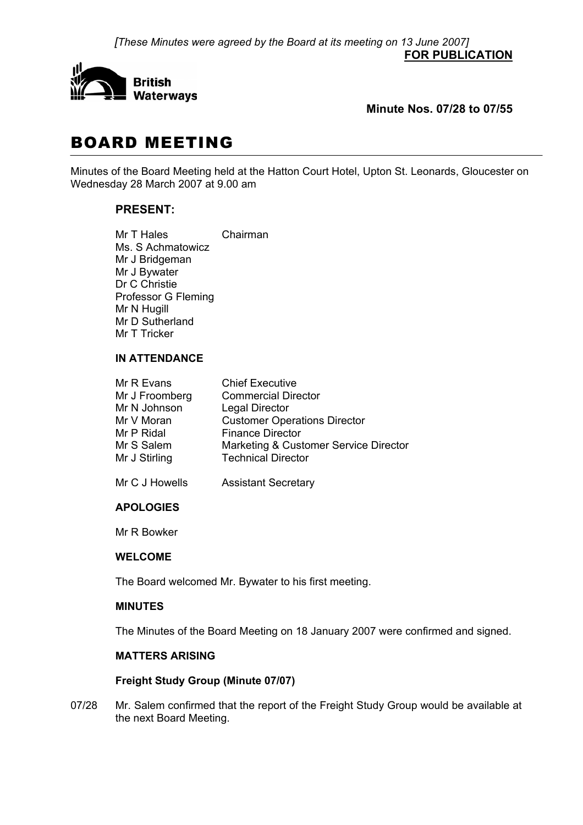*[These Minutes were agreed by the Board at its meeting on 13 June 2007]* **FOR PUBLICATION**



# **Minute Nos. 07/28 to 07/55**

# BOARD MEETING

Minutes of the Board Meeting held at the Hatton Court Hotel, Upton St. Leonards, Gloucester on Wednesday 28 March 2007 at 9.00 am

# **PRESENT:**

Mr T Hales Chairman Ms. S Achmatowicz Mr J Bridgeman Mr J Bywater Dr C Christie Professor G Fleming Mr N Hugill Mr D Sutherland Mr T Tricker

#### **IN ATTENDANCE**

| Mr R Evans     | <b>Chief Executive</b>                |
|----------------|---------------------------------------|
| Mr J Froomberg | <b>Commercial Director</b>            |
| Mr N Johnson   | <b>Legal Director</b>                 |
| Mr V Moran     | <b>Customer Operations Director</b>   |
| Mr P Ridal     | <b>Finance Director</b>               |
| Mr S Salem     | Marketing & Customer Service Director |
| Mr J Stirling  | <b>Technical Director</b>             |
|                |                                       |

Mr C J Howells Assistant Secretary

## **APOLOGIES**

Mr R Bowker

## **WELCOME**

The Board welcomed Mr. Bywater to his first meeting.

## **MINUTES**

The Minutes of the Board Meeting on 18 January 2007 were confirmed and signed.

# **MATTERS ARISING**

## **Freight Study Group (Minute 07/07)**

07/28 Mr. Salem confirmed that the report of the Freight Study Group would be available at the next Board Meeting.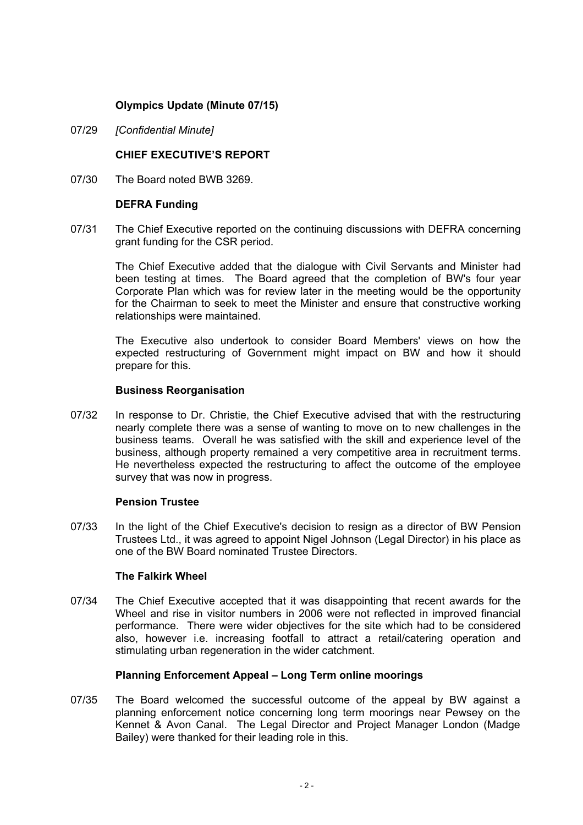## **Olympics Update (Minute 07/15)**

07/29 *[Confidential Minute]*

## **CHIEF EXECUTIVE'S REPORT**

07/30 The Board noted BWB 3269.

#### **DEFRA Funding**

07/31 The Chief Executive reported on the continuing discussions with DEFRA concerning grant funding for the CSR period.

 The Chief Executive added that the dialogue with Civil Servants and Minister had been testing at times. The Board agreed that the completion of BW's four year Corporate Plan which was for review later in the meeting would be the opportunity for the Chairman to seek to meet the Minister and ensure that constructive working relationships were maintained.

 The Executive also undertook to consider Board Members' views on how the expected restructuring of Government might impact on BW and how it should prepare for this.

#### **Business Reorganisation**

07/32 In response to Dr. Christie, the Chief Executive advised that with the restructuring nearly complete there was a sense of wanting to move on to new challenges in the business teams. Overall he was satisfied with the skill and experience level of the business, although property remained a very competitive area in recruitment terms. He nevertheless expected the restructuring to affect the outcome of the employee survey that was now in progress.

## **Pension Trustee**

07/33 In the light of the Chief Executive's decision to resign as a director of BW Pension Trustees Ltd., it was agreed to appoint Nigel Johnson (Legal Director) in his place as one of the BW Board nominated Trustee Directors.

## **The Falkirk Wheel**

07/34 The Chief Executive accepted that it was disappointing that recent awards for the Wheel and rise in visitor numbers in 2006 were not reflected in improved financial performance. There were wider objectives for the site which had to be considered also, however i.e. increasing footfall to attract a retail/catering operation and stimulating urban regeneration in the wider catchment.

## **Planning Enforcement Appeal – Long Term online moorings**

07/35 The Board welcomed the successful outcome of the appeal by BW against a planning enforcement notice concerning long term moorings near Pewsey on the Kennet & Avon Canal. The Legal Director and Project Manager London (Madge Bailey) were thanked for their leading role in this.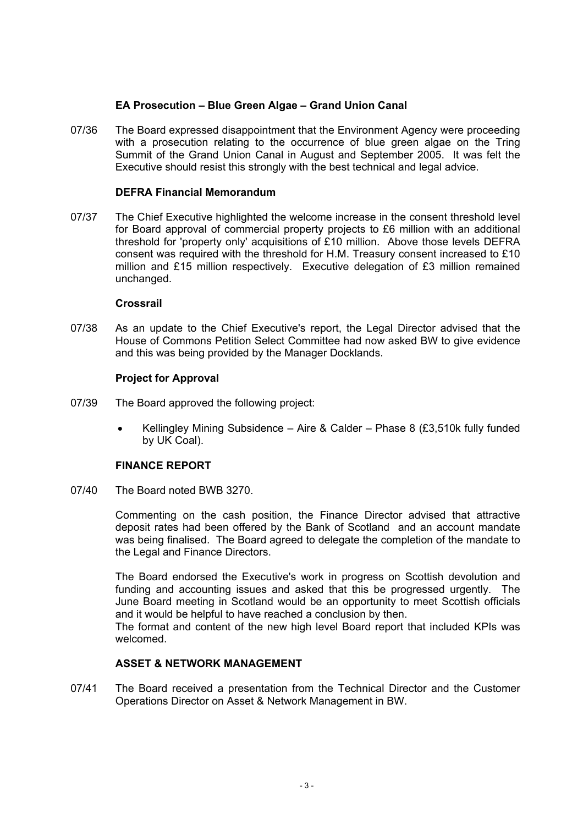## **EA Prosecution – Blue Green Algae – Grand Union Canal**

07/36 The Board expressed disappointment that the Environment Agency were proceeding with a prosecution relating to the occurrence of blue green algae on the Tring Summit of the Grand Union Canal in August and September 2005. It was felt the Executive should resist this strongly with the best technical and legal advice.

## **DEFRA Financial Memorandum**

07/37 The Chief Executive highlighted the welcome increase in the consent threshold level for Board approval of commercial property projects to £6 million with an additional threshold for 'property only' acquisitions of £10 million. Above those levels DEFRA consent was required with the threshold for H.M. Treasury consent increased to £10 million and £15 million respectively. Executive delegation of £3 million remained unchanged.

#### **Crossrail**

07/38 As an update to the Chief Executive's report, the Legal Director advised that the House of Commons Petition Select Committee had now asked BW to give evidence and this was being provided by the Manager Docklands.

#### **Project for Approval**

- 07/39 The Board approved the following project:
	- Kellingley Mining Subsidence Aire & Calder Phase 8 (£3,510k fully funded by UK Coal).

#### **FINANCE REPORT**

07/40 The Board noted BWB 3270.

 Commenting on the cash position, the Finance Director advised that attractive deposit rates had been offered by the Bank of Scotland and an account mandate was being finalised. The Board agreed to delegate the completion of the mandate to the Legal and Finance Directors.

 The Board endorsed the Executive's work in progress on Scottish devolution and funding and accounting issues and asked that this be progressed urgently. The June Board meeting in Scotland would be an opportunity to meet Scottish officials and it would be helpful to have reached a conclusion by then.

 The format and content of the new high level Board report that included KPIs was welcomed.

# **ASSET & NETWORK MANAGEMENT**

07/41 The Board received a presentation from the Technical Director and the Customer Operations Director on Asset & Network Management in BW.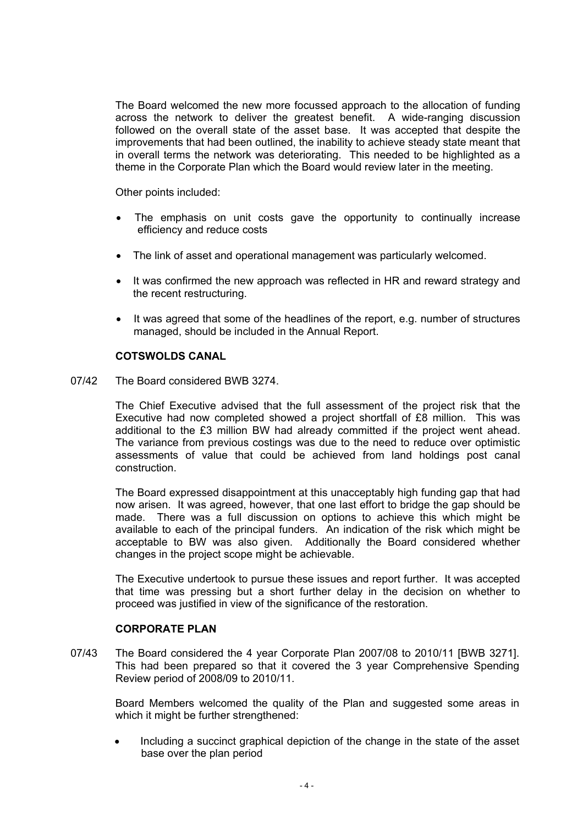The Board welcomed the new more focussed approach to the allocation of funding across the network to deliver the greatest benefit. A wide-ranging discussion followed on the overall state of the asset base. It was accepted that despite the improvements that had been outlined, the inability to achieve steady state meant that in overall terms the network was deteriorating. This needed to be highlighted as a theme in the Corporate Plan which the Board would review later in the meeting.

Other points included:

- The emphasis on unit costs gave the opportunity to continually increase efficiency and reduce costs
- The link of asset and operational management was particularly welcomed.
- It was confirmed the new approach was reflected in HR and reward strategy and the recent restructuring.
- It was agreed that some of the headlines of the report, e.g. number of structures managed, should be included in the Annual Report.

## **COTSWOLDS CANAL**

#### 07/42 The Board considered BWB 3274.

 The Chief Executive advised that the full assessment of the project risk that the Executive had now completed showed a project shortfall of £8 million. This was additional to the £3 million BW had already committed if the project went ahead. The variance from previous costings was due to the need to reduce over optimistic assessments of value that could be achieved from land holdings post canal construction.

 The Board expressed disappointment at this unacceptably high funding gap that had now arisen. It was agreed, however, that one last effort to bridge the gap should be made. There was a full discussion on options to achieve this which might be available to each of the principal funders. An indication of the risk which might be acceptable to BW was also given. Additionally the Board considered whether changes in the project scope might be achievable.

 The Executive undertook to pursue these issues and report further. It was accepted that time was pressing but a short further delay in the decision on whether to proceed was justified in view of the significance of the restoration.

#### **CORPORATE PLAN**

07/43 The Board considered the 4 year Corporate Plan 2007/08 to 2010/11 [BWB 3271]. This had been prepared so that it covered the 3 year Comprehensive Spending Review period of 2008/09 to 2010/11.

 Board Members welcomed the quality of the Plan and suggested some areas in which it might be further strengthened:

• Including a succinct graphical depiction of the change in the state of the asset base over the plan period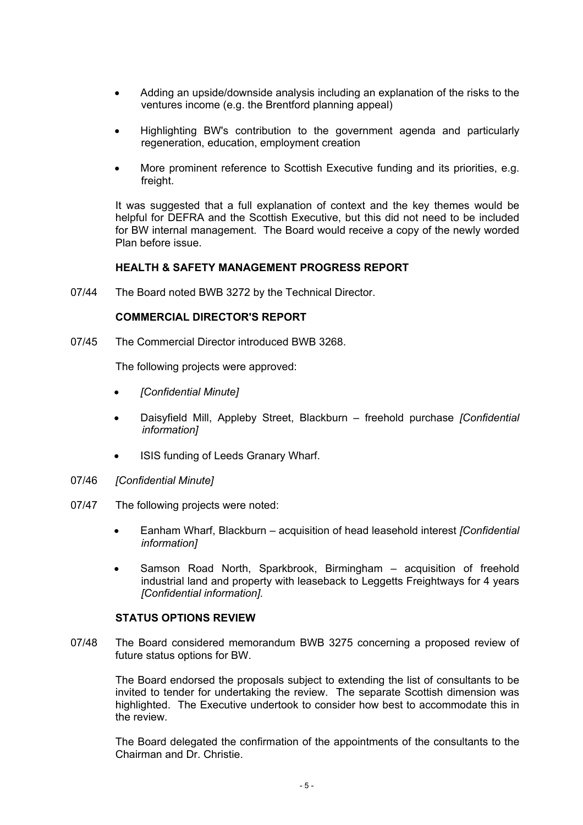- Adding an upside/downside analysis including an explanation of the risks to the ventures income (e.g. the Brentford planning appeal)
- Highlighting BW's contribution to the government agenda and particularly regeneration, education, employment creation
- More prominent reference to Scottish Executive funding and its priorities, e.g. freight.

 It was suggested that a full explanation of context and the key themes would be helpful for DEFRA and the Scottish Executive, but this did not need to be included for BW internal management. The Board would receive a copy of the newly worded Plan before issue.

#### **HEALTH & SAFETY MANAGEMENT PROGRESS REPORT**

07/44 The Board noted BWB 3272 by the Technical Director.

#### **COMMERCIAL DIRECTOR'S REPORT**

07/45 The Commercial Director introduced BWB 3268.

The following projects were approved:

- *[Confidential Minute]*
- Daisyfield Mill, Appleby Street, Blackburn freehold purchase *[Confidential information]*
- ISIS funding of Leeds Granary Wharf.
- 07/46 *[Confidential Minute]*
- 07/47 The following projects were noted:
	- Eanham Wharf, Blackburn acquisition of head leasehold interest *[Confidential information]*
	- Samson Road North, Sparkbrook, Birmingham acquisition of freehold industrial land and property with leaseback to Leggetts Freightways for 4 years *[Confidential information].*

#### **STATUS OPTIONS REVIEW**

07/48 The Board considered memorandum BWB 3275 concerning a proposed review of future status options for BW.

 The Board endorsed the proposals subject to extending the list of consultants to be invited to tender for undertaking the review. The separate Scottish dimension was highlighted. The Executive undertook to consider how best to accommodate this in the review.

 The Board delegated the confirmation of the appointments of the consultants to the Chairman and Dr. Christie.